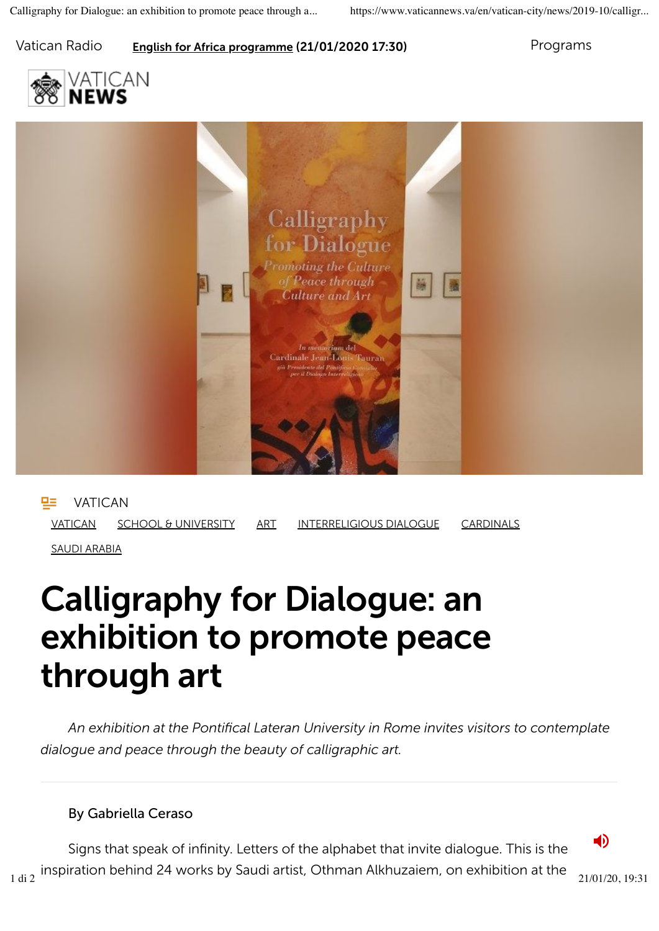#### Vatican Radio **English for Africa programme (21/01/2020 17:30)** Programs

vatican



**PE** VATICAN VATICAN SCHOOL & UNIVERSITY ART INTERRELIGIOUS DIALOGUE CARDINALS SAUDI ARABIA

# Calligraphy for Dialogue: an exhibition to promote peace through art

*An exhibition at the Pontifical Lateran University in Rome invites visitors to contemplate dialogue and peace through the beauty of calligraphic art.*

### By Gabriella Ceraso

Signs that speak of infinity. Letters of the alphabet that invite dialogue. This is the  $_{1 \text{ di 2}}$  inspiration behind 24 works by Saudi artist, Othman Alkhuzaiem, on exhibition at the  $_{21/01/20, 19:31}$ 

**1**